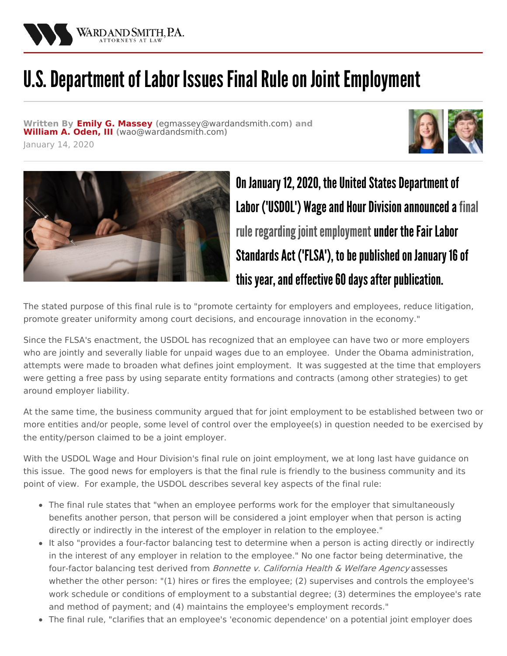

## U.S. Department of Labor Issues Final Rule on Joint Employment

**Written By Emily G. [Massey](/attorneys/emily-massey) (**[egmassey@wardandsmith.com](mailto:egmassey@wardandsmith.com)**) and [William](/attorneys/william-oden) A. Oden, III (**[wao@wardandsmith.com](mailto:wao@wardandsmith.com)**)**







On January 12, 2020, the United States Department of Labor ('USDOL') Wage and Hour Division announced a final rule regarding joint employment under the Fair Labor Standards Act ('FLSA'), to be published on January 16 of this year, and effective 60 days after publication.

The stated purpose of this final rule is to "promote certainty for employers and employees, reduce litigation, promote greater uniformity among court decisions, and encourage innovation in the economy."

Since the FLSA's enactment, the USDOL has recognized that an employee can have two or more employers who are jointly and severally liable for unpaid wages due to an employee. Under the Obama administration, attempts were made to broaden what defines joint employment. It was suggested at the time that employers were getting a free pass by using separate entity formations and contracts (among other strategies) to get around employer liability.

At the same time, the business community argued that for joint employment to be established between two or more entities and/or people, some level of control over the employee(s) in question needed to be exercised by the entity/person claimed to be a joint employer.

With the USDOL Wage and Hour Division's final rule on joint employment, we at long last have guidance on this issue. The good news for employers is that the final rule is friendly to the business community and its point of view. For example, the USDOL describes several key aspects of the final rule:

- The final rule states that "when an employee performs work for the employer that simultaneously benefits another person, that person will be considered a joint employer when that person is acting directly or indirectly in the interest of the employer in relation to the employee."
- It also "provides a four-factor balancing test to determine when a person is acting directly or indirectly in the interest of any employer in relation to the employee." No one factor being determinative, the four-factor balancing test derived from *Bonnette v. California Health & Welfare Agency* assesses whether the other person: "(1) hires or fires the employee; (2) supervises and controls the employee's work schedule or conditions of employment to a substantial degree; (3) determines the employee's rate and method of payment; and (4) maintains the employee's employment records."
- The final rule, "clarifies that an employee's 'economic dependence' on a potential joint employer does